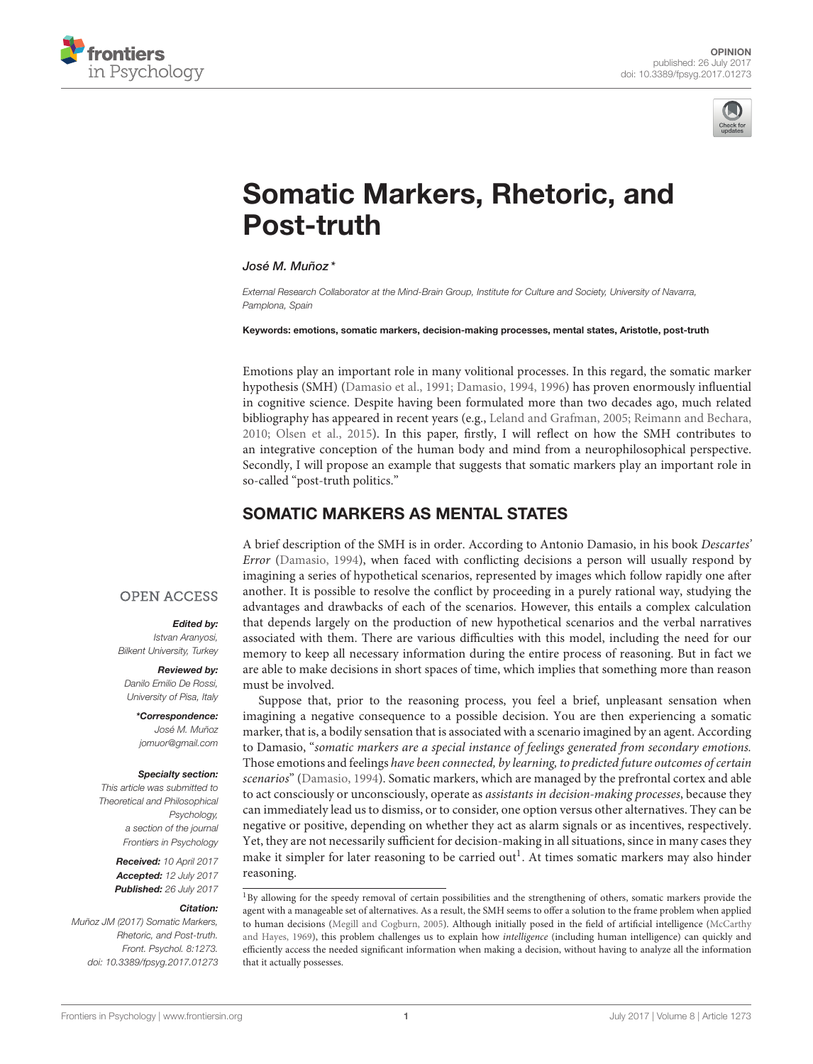



# [Somatic Markers, Rhetoric, and](http://journal.frontiersin.org/article/10.3389/fpsyg.2017.01273/full) Post-truth

[José M. Muñoz](http://loop.frontiersin.org/people/391751/overview) \*

External Research Collaborator at the Mind-Brain Group, Institute for Culture and Society, University of Navarra, Pamplona, Spain

Keywords: emotions, somatic markers, decision-making processes, mental states, Aristotle, post-truth

Emotions play an important role in many volitional processes. In this regard, the somatic marker hypothesis (SMH) [\(Damasio et al., 1991;](#page-2-0) [Damasio, 1994,](#page-2-1) [1996\)](#page-2-2) has proven enormously influential in cognitive science. Despite having been formulated more than two decades ago, much related bibliography has appeared in recent years (e.g., [Leland and Grafman, 2005;](#page-2-3) [Reimann and Bechara,](#page-2-4) [2010;](#page-2-4) [Olsen et al., 2015\)](#page-2-5). In this paper, firstly, I will reflect on how the SMH contributes to an integrative conception of the human body and mind from a neurophilosophical perspective. Secondly, I will propose an example that suggests that somatic markers play an important role in so-called "post-truth politics."

# SOMATIC MARKERS AS MENTAL STATES

A brief description of the SMH is in order. According to Antonio Damasio, in his book Descartes' Error [\(Damasio, 1994\)](#page-2-1), when faced with conflicting decisions a person will usually respond by imagining a series of hypothetical scenarios, represented by images which follow rapidly one after another. It is possible to resolve the conflict by proceeding in a purely rational way, studying the advantages and drawbacks of each of the scenarios. However, this entails a complex calculation that depends largely on the production of new hypothetical scenarios and the verbal narratives associated with them. There are various difficulties with this model, including the need for our memory to keep all necessary information during the entire process of reasoning. But in fact we are able to make decisions in short spaces of time, which implies that something more than reason must be involved.

Suppose that, prior to the reasoning process, you feel a brief, unpleasant sensation when imagining a negative consequence to a possible decision. You are then experiencing a somatic marker, that is, a bodily sensation that is associated with a scenario imagined by an agent. According to Damasio, "somatic markers are a special instance of feelings generated from secondary emotions. Those emotions and feelings have been connected, by learning, to predicted future outcomes of certain scenarios" [\(Damasio, 1994\)](#page-2-1). Somatic markers, which are managed by the prefrontal cortex and able to act consciously or unconsciously, operate as *assistants in decision-making processes*, because they can immediately lead us to dismiss, or to consider, one option versus other alternatives. They can be negative or positive, depending on whether they act as alarm signals or as incentives, respectively. Yet, they are not necessarily sufficient for decision-making in all situations, since in many cases they make it simpler for later reasoning to be carried out<sup>[1](#page-0-0)</sup>. At times somatic markers may also hinder reasoning.

### **OPEN ACCESS**

#### Edited by:

Istvan Aranyosi, Bilkent University, Turkey

Reviewed by: Danilo Emilio De Rossi, University of Pisa, Italy

> \*Correspondence: José M. Muñoz [jomuor@gmail.com](mailto:jomuor@gmail.com)

#### Specialty section:

This article was submitted to Theoretical and Philosophical Psychology, a section of the journal Frontiers in Psychology

> Received: 10 April 2017 Accepted: 12 July 2017 Published: 26 July 2017

#### Citation:

Muñoz JM (2017) Somatic Markers, Rhetoric, and Post-truth. Front. Psychol. 8:1273. doi: [10.3389/fpsyg.2017.01273](https://doi.org/10.3389/fpsyg.2017.01273)

<span id="page-0-0"></span><sup>&</sup>lt;sup>1</sup>By allowing for the speedy removal of certain possibilities and the strengthening of others, somatic markers provide the agent with a manageable set of alternatives. As a result, the SMH seems to offer a solution to the frame problem when applied to human decisions [\(Megill and Cogburn, 2005\)](#page-2-6). Although initially posed in the field of artificial intelligence (McCarthy and Hayes, [1969\)](#page-2-7), this problem challenges us to explain how intelligence (including human intelligence) can quickly and efficiently access the needed significant information when making a decision, without having to analyze all the information that it actually possesses.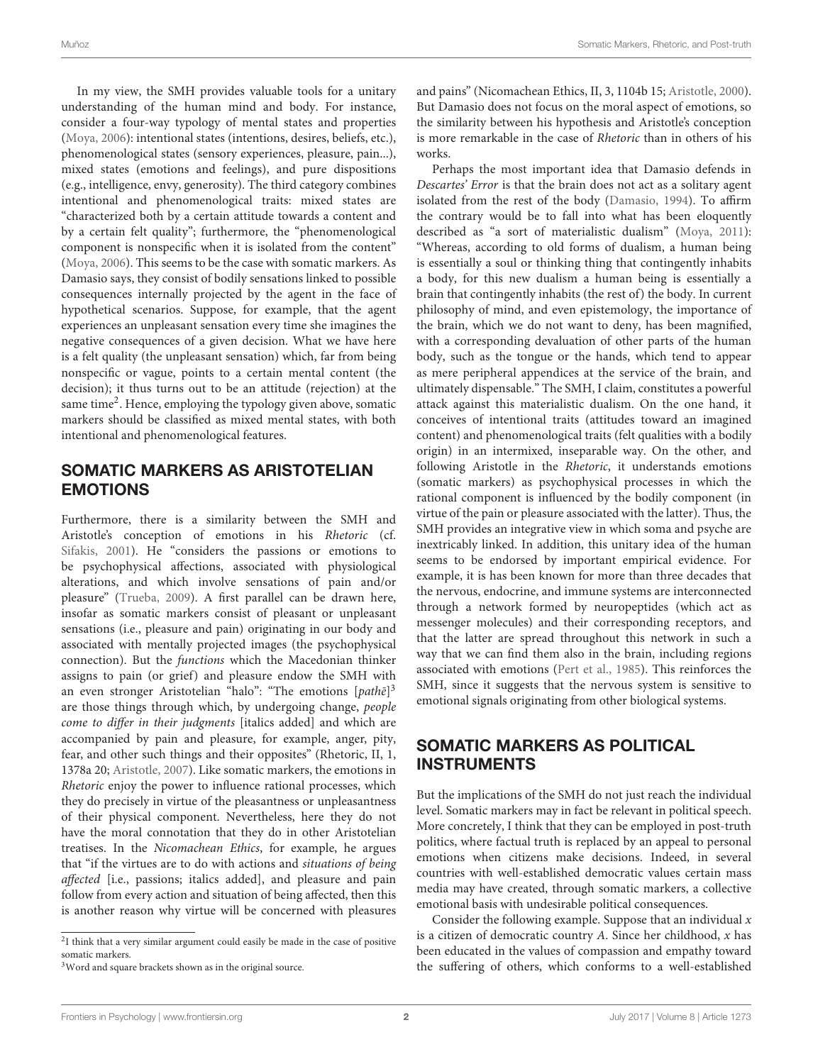In my view, the SMH provides valuable tools for a unitary understanding of the human mind and body. For instance, consider a four-way typology of mental states and properties [\(Moya, 2006\)](#page-2-8): intentional states (intentions, desires, beliefs, etc.), phenomenological states (sensory experiences, pleasure, pain...), mixed states (emotions and feelings), and pure dispositions (e.g., intelligence, envy, generosity). The third category combines intentional and phenomenological traits: mixed states are "characterized both by a certain attitude towards a content and by a certain felt quality"; furthermore, the "phenomenological component is nonspecific when it is isolated from the content" [\(Moya, 2006\)](#page-2-8). This seems to be the case with somatic markers. As Damasio says, they consist of bodily sensations linked to possible consequences internally projected by the agent in the face of hypothetical scenarios. Suppose, for example, that the agent experiences an unpleasant sensation every time she imagines the negative consequences of a given decision. What we have here is a felt quality (the unpleasant sensation) which, far from being nonspecific or vague, points to a certain mental content (the decision); it thus turns out to be an attitude (rejection) at the same time<sup>[2](#page-1-0)</sup>. Hence, employing the typology given above, somatic markers should be classified as mixed mental states, with both intentional and phenomenological features.

# SOMATIC MARKERS AS ARISTOTELIAN EMOTIONS

Furthermore, there is a similarity between the SMH and Aristotle's conception of emotions in his Rhetoric (cf. [Sifakis, 2001\)](#page-2-9). He "considers the passions or emotions to be psychophysical affections, associated with physiological alterations, and which involve sensations of pain and/or pleasure" [\(Trueba, 2009\)](#page-2-10). A first parallel can be drawn here, insofar as somatic markers consist of pleasant or unpleasant sensations (i.e., pleasure and pain) originating in our body and associated with mentally projected images (the psychophysical connection). But the functions which the Macedonian thinker assigns to pain (or grief) and pleasure endow the SMH with an even stronger Aristotelian "halo": "The emotions [pathē]<sup>[3](#page-1-1)</sup> are those things through which, by undergoing change, people come to differ in their judgments [italics added] and which are accompanied by pain and pleasure, for example, anger, pity, fear, and other such things and their opposites" (Rhetoric, II, 1, 1378a 20; [Aristotle, 2007\)](#page-2-11). Like somatic markers, the emotions in Rhetoric enjoy the power to influence rational processes, which they do precisely in virtue of the pleasantness or unpleasantness of their physical component. Nevertheless, here they do not have the moral connotation that they do in other Aristotelian treatises. In the Nicomachean Ethics, for example, he argues that "if the virtues are to do with actions and situations of being affected [i.e., passions; italics added], and pleasure and pain follow from every action and situation of being affected, then this is another reason why virtue will be concerned with pleasures and pains" (Nicomachean Ethics, II, 3, 1104b 15; [Aristotle, 2000\)](#page-2-12). But Damasio does not focus on the moral aspect of emotions, so the similarity between his hypothesis and Aristotle's conception is more remarkable in the case of Rhetoric than in others of his works.

Perhaps the most important idea that Damasio defends in Descartes' Error is that the brain does not act as a solitary agent isolated from the rest of the body [\(Damasio, 1994\)](#page-2-1). To affirm the contrary would be to fall into what has been eloquently described as "a sort of materialistic dualism" [\(Moya, 2011\)](#page-2-13): "Whereas, according to old forms of dualism, a human being is essentially a soul or thinking thing that contingently inhabits a body, for this new dualism a human being is essentially a brain that contingently inhabits (the rest of) the body. In current philosophy of mind, and even epistemology, the importance of the brain, which we do not want to deny, has been magnified, with a corresponding devaluation of other parts of the human body, such as the tongue or the hands, which tend to appear as mere peripheral appendices at the service of the brain, and ultimately dispensable." The SMH, I claim, constitutes a powerful attack against this materialistic dualism. On the one hand, it conceives of intentional traits (attitudes toward an imagined content) and phenomenological traits (felt qualities with a bodily origin) in an intermixed, inseparable way. On the other, and following Aristotle in the Rhetoric, it understands emotions (somatic markers) as psychophysical processes in which the rational component is influenced by the bodily component (in virtue of the pain or pleasure associated with the latter). Thus, the SMH provides an integrative view in which soma and psyche are inextricably linked. In addition, this unitary idea of the human seems to be endorsed by important empirical evidence. For example, it is has been known for more than three decades that the nervous, endocrine, and immune systems are interconnected through a network formed by neuropeptides (which act as messenger molecules) and their corresponding receptors, and that the latter are spread throughout this network in such a way that we can find them also in the brain, including regions associated with emotions [\(Pert et al., 1985\)](#page-2-14). This reinforces the SMH, since it suggests that the nervous system is sensitive to emotional signals originating from other biological systems.

# SOMATIC MARKERS AS POLITICAL INSTRUMENTS

But the implications of the SMH do not just reach the individual level. Somatic markers may in fact be relevant in political speech. More concretely, I think that they can be employed in post-truth politics, where factual truth is replaced by an appeal to personal emotions when citizens make decisions. Indeed, in several countries with well-established democratic values certain mass media may have created, through somatic markers, a collective emotional basis with undesirable political consequences.

Consider the following example. Suppose that an individual  $x$ is a citizen of democratic country  $A$ . Since her childhood,  $x$  has been educated in the values of compassion and empathy toward the suffering of others, which conforms to a well-established

<span id="page-1-0"></span><sup>&</sup>lt;sup>2</sup>I think that a very similar argument could easily be made in the case of positive somatic markers.

<span id="page-1-1"></span><sup>3</sup>Word and square brackets shown as in the original source.